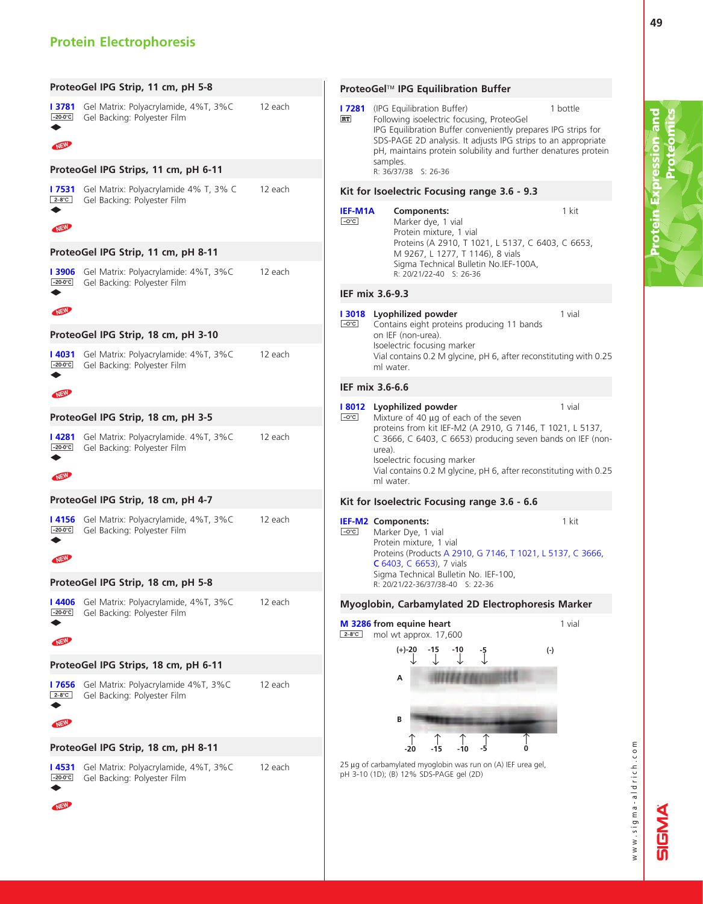# Protein Electrophoresis

Protein Expression and

**Protein Expression and** <br>Proteomics

Proteomics

| ProteoGel IPG Strip, 11 cm, pH 5-8                                                                                                       |         | ProteoGel™ IPG Equilibration Buffer                                                                                                                                                                                                                                                                                        |
|------------------------------------------------------------------------------------------------------------------------------------------|---------|----------------------------------------------------------------------------------------------------------------------------------------------------------------------------------------------------------------------------------------------------------------------------------------------------------------------------|
| <b>I 3781</b> Gel Matrix: Polyacrylamide, 4%T, 3%C<br>Gel Backing: Polyester Film<br>$-20-0$ °C<br>NEW                                   | 12 each | (IPG Equilibration Buffer)<br>1 bottle<br>l 7281<br>Following isoelectric focusing, ProteoGel<br><b>RT</b><br>IPG Equilibration Buffer conveniently prepares IPG strips for<br>SDS-PAGE 2D analysis. It adjusts IPG strips to an appropriate<br>pH, maintains protein solubility and further denatures protein<br>samples. |
| ProteoGel IPG Strips, 11 cm, pH 6-11                                                                                                     |         | R: 36/37/38 S: 26-36                                                                                                                                                                                                                                                                                                       |
| Gel Matrix: Polyacrylamide 4% T, 3% C<br>l 7531<br>$2-8$ °C<br>Gel Backing: Polyester Film                                               | 12 each | Kit for Isoelectric Focusing range 3.6 - 9.3                                                                                                                                                                                                                                                                               |
| NEW                                                                                                                                      |         | 1 kit<br><b>IEF-M1A</b><br>Components:<br>$-C^{\circ}C$<br>Marker dye, 1 vial<br>Protein mixture, 1 vial<br>Proteins (A 2910, T 1021, L 5137, C 6403, C 6653,                                                                                                                                                              |
| ProteoGel IPG Strip, 11 cm, pH 8-11                                                                                                      |         | M 9267, L 1277, T 1146), 8 vials                                                                                                                                                                                                                                                                                           |
| Gel Matrix: Polyacrylamide: 4%T, 3%C<br><b>13906</b><br>Gel Backing: Polyester Film<br>$-20-0$ °C                                        | 12 each | Sigma Technical Bulletin No.IEF-100A,<br>R: 20/21/22-40 S: 26-36                                                                                                                                                                                                                                                           |
|                                                                                                                                          |         | IEF mix 3.6-9.3                                                                                                                                                                                                                                                                                                            |
| NEW<br>ProteoGel IPG Strip, 18 cm, pH 3-10                                                                                               |         | 1 vial<br>Lyophilized powder<br><b>13018</b><br>$-O^{\circ}C$<br>Contains eight proteins producing 11 bands<br>on IEF (non-urea).                                                                                                                                                                                          |
| Gel Matrix: Polyacrylamide: 4%T, 3%C<br>l 4031<br>$-20-0$ °C<br>Gel Backing: Polyester Film                                              | 12 each | Isoelectric focusing marker<br>Vial contains 0.2 M glycine, pH 6, after reconstituting with 0.25<br>ml water.                                                                                                                                                                                                              |
| NEW                                                                                                                                      |         | IEF mix 3.6-6.6                                                                                                                                                                                                                                                                                                            |
|                                                                                                                                          |         | 1 vial<br>Lyophilized powder<br>l 8012                                                                                                                                                                                                                                                                                     |
| ProteoGel IPG Strip, 18 cm, pH 3-5<br>Gel Matrix: Polyacrylamide. 4%T, 3%C<br>l 4281<br>$-20-0$ °C<br>Gel Backing: Polyester Film<br>NEW | 12 each | Mixture of 40 µg of each of the seven<br>$-O^{\circ}C$<br>proteins from kit IEF-M2 (A 2910, G 7146, T 1021, L 5137,<br>C 3666, C 6403, C 6653) producing seven bands on IEF (non-<br>urea).<br>Isoelectric focusing marker<br>Vial contains 0.2 M glycine, pH 6, after reconstituting with 0.25<br>ml water.               |
| ProteoGel IPG Strip, 18 cm, pH 4-7                                                                                                       |         | Kit for Isoelectric Focusing range 3.6 - 6.6                                                                                                                                                                                                                                                                               |
| <b>I 4156</b> Gel Matrix: Polyacrylamide, 4%T, 3%C<br>$-20-0$ °C<br>Gel Backing: Polyester Film<br><b>NEW</b>                            | 12 each | 1 kit<br>IEF-M2 Components:<br>$-C^{\circ}C$<br>Marker Dye, 1 vial<br>Protein mixture, 1 vial<br>Proteins (Products A 2910, G 7146, T 1021, L 5137, C 3666,<br>C 6403, C 6653), 7 vials                                                                                                                                    |
| ProteoGel IPG Strip, 18 cm, pH 5-8                                                                                                       |         | Sigma Technical Bulletin No. IEF-100,<br>R: 20/21/22-36/37/38-40 S: 22-36                                                                                                                                                                                                                                                  |
| Gel Matrix: Polyacrylamide, 4%T, 3%C<br>I4406<br>$-20-0$ °C                                                                              | 12 each | Myoglobin, Carbamylated 2D Electrophoresis Marker                                                                                                                                                                                                                                                                          |
| Gel Backing: Polyester Film<br>NEW                                                                                                       |         | 1 vial<br>M 3286 from equine heart<br>$2-8^{\circ}C$<br>mol wt approx. 17,600                                                                                                                                                                                                                                              |
| ProteoGel IPG Strips, 18 cm, pH 6-11                                                                                                     |         | $(+) - 20$<br>$-15$<br>-10<br>$(\cdot)$<br>-5<br>J                                                                                                                                                                                                                                                                         |
| Gel Matrix: Polyacrylamide 4%T, 3%C<br><b>17656</b>                                                                                      | 12 each | А                                                                                                                                                                                                                                                                                                                          |
| Gel Backing: Polyester Film<br>$2-8$ °C<br>NEW                                                                                           |         | В                                                                                                                                                                                                                                                                                                                          |
| ProteoGel IPG Strip, 18 cm, pH 8-11                                                                                                      |         | -5<br>-10<br>$\Omega$<br>-20<br>-15                                                                                                                                                                                                                                                                                        |
| Gel Matrix: Polyacrylamide, 4%T, 3%C<br>  4531<br>$-20-0$ °C<br>Gel Backing: Polyester Film<br><b>NEW</b>                                | 12 each | 25 µg of carbamylated myoglobin was run on (A) IEF urea gel,<br>pH 3-10 (1D); (B) 12% SDS-PAGE gel (2D)                                                                                                                                                                                                                    |

www.sigma-aldrich.com www.sigma-aldrich.com

**SIGMA**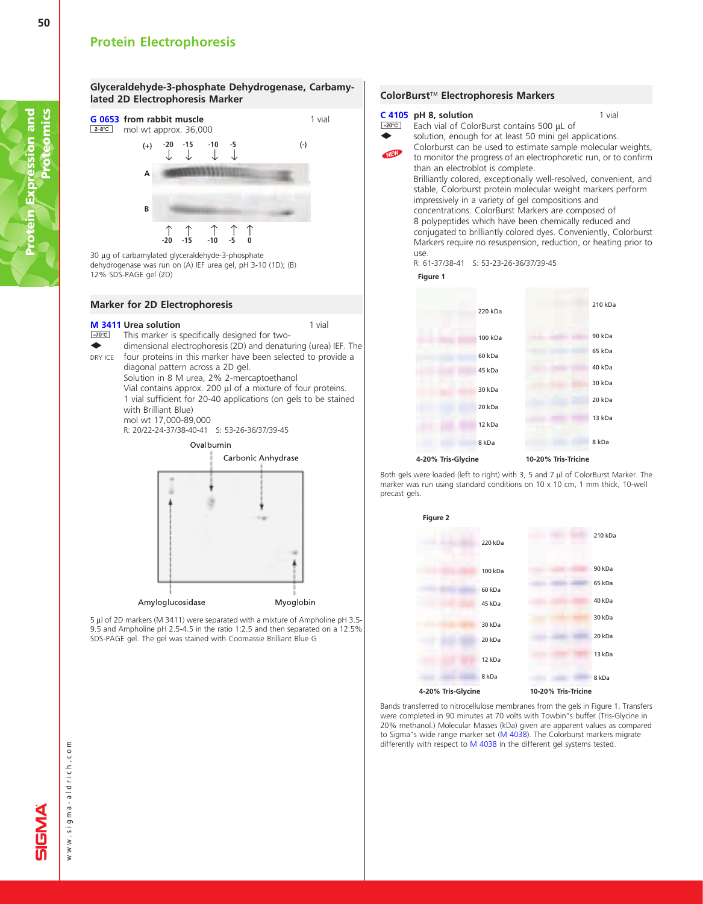50





30 µg of carbamylated glyceraldehyde-3-phosphate dehydrogenase was run on (A) IEF urea gel, pH 3-10 (1D); (B) 12% SDS-PAGE gel (2D)

#### Marker for 2D Electrophoresis

#### **[M 3411](http://www.sigma-aldrich.com/ProductLookup.html?ProdNo=M3411&Brand=SIGMA) Urea solution** and the solution of the solution of the solution of the solution of the solution of the solution of the solution of the solution of the solution of the solution of the solution of the solution of the

 $-70^{\circ}$ C This marker is specifically designed for two- $\ddot{\phantom{0}}$ dimensional electrophoresis (2D) and denaturing (urea) IEF. The four proteins in this marker have been selected to provide a DRY ICE diagonal pattern across a 2D gel. Solution in 8 M urea,2% 2-mercaptoethanol Vial contains approx. 200  $\mu$ l of a mixture of four proteins. 1 vial sufficient for 20-40 applications (on gels to be stained with Brilliant Blue) mol wt 17,000-89,000 R: 20/22-24-37/38-40-41 S: 53-26-36/37/39-45 Ovalbumin Carbonic Anhydrase



5 µl of 2D markers (M 3411) were separated with a mixture of Ampholine pH 3.5-9.5 and Ampholine pH 2.5-4.5 in the ratio 1:2.5 and then separated on a 12.5% SDS-PAGE gel. The gel was stained with Coomassie Brilliant Blue G

#### ColorBurst<sup>™</sup> Electrophoresis Markers [C 4105](http://www.sigma-aldrich.com/ProductLookup.html?ProdNo=C4105&Brand=SIGMA) pH 8, solution  $-20^{\circ}$ C 1 vial NEW Each vial of ColorBurst contains 500 µL of solution, enough for at least 50 mini gel applications. Colorburst can be used to estimate sample molecular weights, to monitor the progress of an electrophoretic run, or to confirm than an electroblot is complete. Brilliantly colored, exceptionally well-resolved, convenient, and stable, Colorburst protein molecular weight markers perform impressively in a variety of gel compositions and concentrations. ColorBurst Markers are composed of 8 polypeptides which have been chemically reduced and conjugated to brilliantly colored dyes. Conveniently, Colorburst Markers require no resuspension, reduction, or heating prior to use. R: 61-37/38-41 S: 53-23-26-36/37/39-45 **Figure 1**

 $\ddot{\bullet}$ 



Both gels were loaded (left to right) with 3, 5 and 7  $\mu$ l of ColorBurst Marker. The marker was run using standard conditions on 10 x 10 cm, 1 mm thick, 10-well precast gels.



Bands transferred to nitrocellulose membranes from the gels in Figure 1. Transfers were completed in 90 minutes at 70 volts with Towbin''s buffer (Tris-Glycine in 20% methanol.) Molecular Masses (kDa) given are apparent values as compared to Sigma''s wide range marker set [\(M 4038\)](http://www.sigma-aldrich.com/ProductLookup.html?ProdNo=M4038&Brand=SIGMA). The Colorburst markers migrate differently with respect to [M 4038](http://www.sigma-aldrich.com/ProductLookup.html?ProdNo=M4038&Brand=SIGMA) in the different gel systems tested.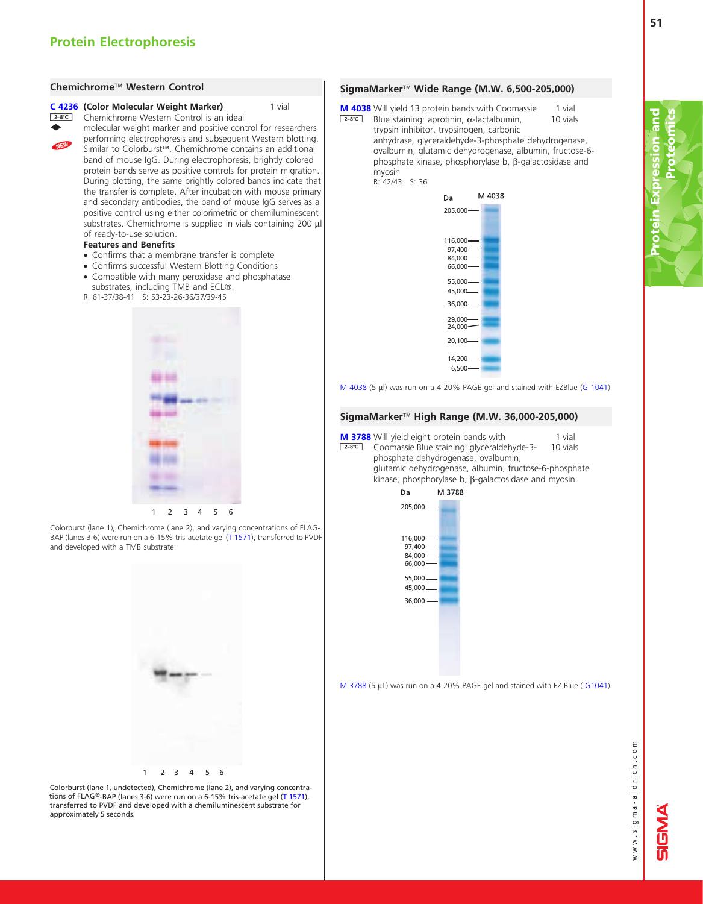#### Chemichrome<sup>™</sup> Western Control



NEW

[C 4236](http://www.sigma-aldrich.com/ProductLookup.html?ProdNo=C4236&Brand=SIGMA) (Color Molecular Weight Marker) **2-8°C** Chemichrome Western Control is an ideal

> molecular weight marker and positive control for researchers performing electrophoresis and subsequent Western blotting. Similar to Colorburst™, Chemichrome contains an additional band of mouse IgG. During electrophoresis, brightly colored protein bands serve as positive controls for protein migration. During blotting, the same brightly colored bands indicate that the transfer is complete. After incubation with mouse primary and secondary antibodies, the band of mouse  $\log$  serves as a positive control using either colorimetric or chemiluminescent substrates. Chemichrome is supplied in vials containing 200 µl of ready-to-use solution.

1 vial

#### Features and Benefits

- Confirms that a membrane transfer is complete
- Confirms successful Western Blotting Conditions
- Compatible with many peroxidase and phosphatase substrates, including TMB and ECL®.
- R: 61-37/38-41 S: 53-23-26-36/37/39-45



Colorburst (lane 1), Chemichrome (lane 2), and varying concentrations of FLAGBAP (lanes 3-6) were run on a 6-15% tris-acetate g[el \(T 1571\),](http://www.sigma-aldrich.com/ProductLookup.html?ProdNo=T1571&Brand=SIGMA) transferred to PVDF and developed with a TMB substrate.



10 vials [M 4038](http://www.sigma-aldrich.com/ProductLookup.html?ProdNo=M4038&Brand=SIGMA) Will yield 13 protein bands with Coomassie <u>E</u>-8<sup>°</sup>C Blue staining: aprotinin, α-lactalbumin, trunsin inhibitor trunsinogen carbonic

trypsin inhibitor, trypsinogen, carbonic anhydrase, glyceraldehyde-3-phosphate dehydrogenase, ovalbumin, glutamic dehydrogenase, albumin, fructose-6phosphate kinase, phosphorylase b,  $\beta$ -galactosidase and myosin R: 42/43 S: 36

1 vial



[M 4038](http://www.sigma-aldrich.com/ProductLookup.html?ProdNo=M4038&Brand=SIGMA) (5 µl) was run on a 4-20% PAGE gel and stained with EZBlue [\(G 1041\)](http://www.sigma-aldrich.com/ProductLookup.html?ProdNo=G1041&Brand=SIGMA)

#### SigmaMarker<sup>™</sup> High Range (M.W. 36,000-205,000)

1 vial 10 vials [M 3788](http://www.sigma-aldrich.com/ProductLookup.html?ProdNo=M3788&Brand=SIGMA) Will yield eight protein bands with **E-8°C** Coomassie Blue staining: glyceraldehyde-3phosphate dehydrogenase, ovalbumin, glutamic dehydrogenase, albumin, fructose-6-phosphate

kinase, phosphorylase b,  $\beta$ -galactosidase and myosin.<br>Da M 3788



[M 3788](http://www.sigma-aldrich.com/ProductLookup.html?ProdNo=M3788&Brand=SIGMA) (5 µL) was run on a 4-20% PAGE gel and stained with EZ Blue ( [G1041\).](http://www.sigma-aldrich.com/ProductLookup.html?ProdNo=G1041&Brand=SIGMA)



Colorburst (lane 1, undetected), Chemichrome (lane 2), and varying concentrations of FLAG®-BAP (lanes 3-6) were run on a 6-15% tris-acetate g[el \(T 1571\),](http://www.sigma-aldrich.com/ProductLookup.html?ProdNo=T1571&Brand=SIGMA) transferred to PVDF and developed with a chemiluminescent substrate for approximately 5 seconds.

www.sigma-aldrich.com www.sigma-aldrich.com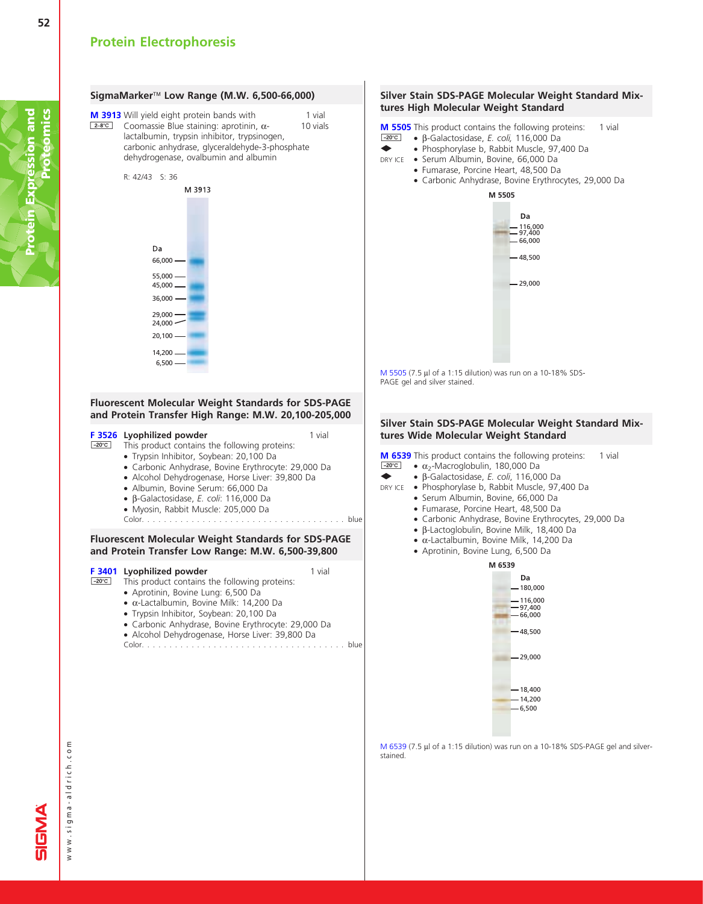

[M 6539](http://www.sigma-aldrich.com/ProductLookup.html?ProdNo=M6539&Brand=SIGMA) (7.5 µl of a 1:15 dilution) was run on a 10-18% SDS-PAGE gel and silverstained.

1 vial

1 vial

52